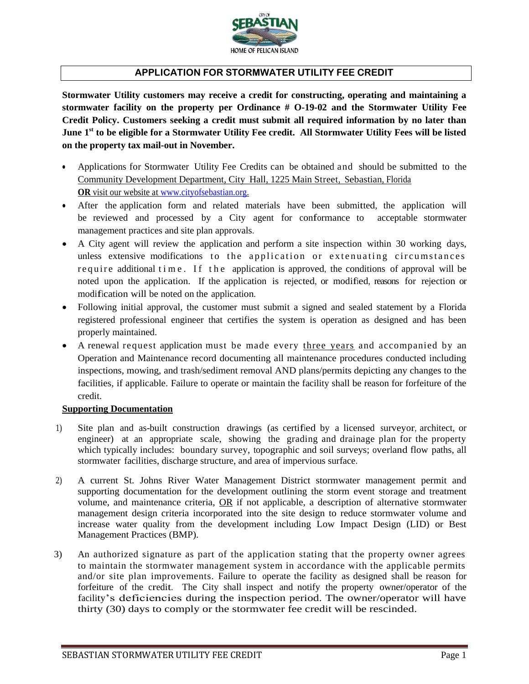

## **APPLICATION FOR STORMWATER UTILITY FEE CREDIT**

**Stormwater Utility customers may receive a credit for constructing, operating and maintaining a stormwater facility on the property per Ordinance # O-19-02 and the Stormwater Utility Fee Credit Policy. Customers seeking a credit must submit all required information by no later than June 1st to be eligible for a Stormwater Utility Fee credit. All Stormwater Utility Fees will be listed on the property tax mail-out in November.** 

- Applications for Stormwater Utility Fee Credits can be obtained and should be submitted to the Community Development Department, City Hall, 1225 Main Street, Sebastian, Florida **OR** visit our website at [www.cityofsebastian.org.](http://www.cityofsebastian.org/)
- After the application form and related materials have been submitted, the application will be reviewed and processed by a City agent for conformance to acceptable stormwater management practices and site plan approvals.
- A City agent will review the application and perform a site inspection within 30 working days, unless extensive modifications to the application or extenuating circumstances require additional time. If the application is approved, the conditions of approval will be noted upon the application. If the application is rejected, or modified, reasons for rejection or modification will be noted on the application.
- Following initial approval, the customer must submit a signed and sealed statement by a Florida registered professional engineer that certifies the system is operation as designed and has been properly maintained.
- A renewal request application must be made every three years and accompanied by an Operation and Maintenance record documenting all maintenance procedures conducted including inspections, mowing, and trash/sediment removal AND plans/permits depicting any changes to the facilities, if applicable. Failure to operate or maintain the facility shall be reason for forfeiture of the credit.

## **Supporting Documentation**

- 1) Site plan and as-built construction drawings (as certified by a licensed surveyor, architect, or engineer) at an appropriate scale, showing the grading and drainage plan for the property which typically includes: boundary survey, topographic and soil surveys; overland flow paths, all stormwater facilities, discharge structure, and area of impervious surface.
- 2) A current St. Johns River Water Management District stormwater management permit and supporting documentation for the development outlining the storm event storage and treatment volume, and maintenance criteria, OR if not applicable, a description of alternative stormwater management design criteria incorporated into the site design to reduce stormwater volume and increase water quality from the development including Low Impact Design (LID) or Best Management Practices (BMP).
- 3) An authorized signature as part of the application stating that the property owner agrees to maintain the stormwater management system in accordance with the applicable permits and/or site plan improvements. Failure to operate the facility as designed shall be reason for forfeiture of the credit. The City shall inspect and notify the property owner/operator of the facility's deficiencies during the inspection period. The owner/operator will have thirty (30) days to comply or the stormwater fee credit will be rescinded.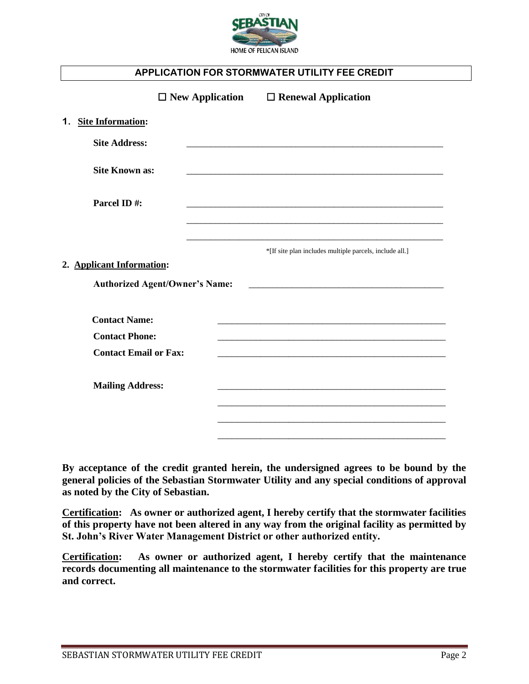

## **APPLICATION FOR STORMWATER UTILITY FEE CREDIT**

|    |                                               | $\Box$ New Application                | $\Box$ Renewal Application                              |
|----|-----------------------------------------------|---------------------------------------|---------------------------------------------------------|
| 1. | <b>Site Information:</b>                      |                                       |                                                         |
|    | <b>Site Address:</b>                          |                                       |                                                         |
|    | <b>Site Known as:</b>                         |                                       |                                                         |
|    | Parcel ID#:                                   |                                       |                                                         |
|    |                                               |                                       |                                                         |
|    | 2. Applicant Information:                     | <b>Authorized Agent/Owner's Name:</b> | *[If site plan includes multiple parcels, include all.] |
|    | <b>Contact Name:</b><br><b>Contact Phone:</b> |                                       |                                                         |
|    | <b>Contact Email or Fax:</b>                  |                                       |                                                         |
|    | <b>Mailing Address:</b>                       |                                       |                                                         |
|    |                                               |                                       |                                                         |
|    |                                               |                                       |                                                         |

**By acceptance of the credit granted herein, the undersigned agrees to be bound by the general policies of the Sebastian Stormwater Utility and any special conditions of approval as noted by the City of Sebastian.** 

**Certification: As owner or authorized agent, I hereby certify that the stormwater facilities of this property have not been altered in any way from the original facility as permitted by St. John's River Water Management District or other authorized entity.** 

**Certification: As owner or authorized agent, I hereby certify that the maintenance records documenting all maintenance to the stormwater facilities for this property are true and correct.**